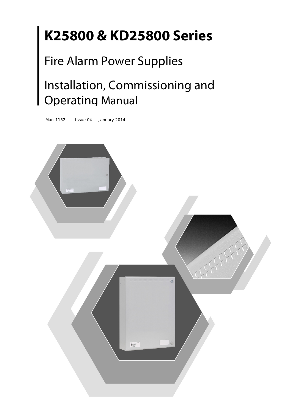# **K25800 & KD25800 Series**

## Fire Alarm Power Supplies

## Installation, Commissioning and Operating Manual

Man-1152 Issue 04 January 2014

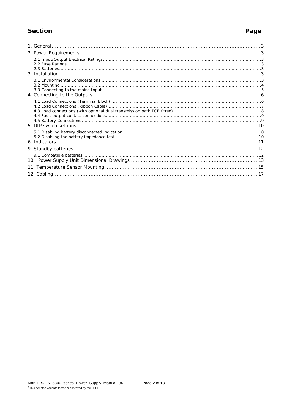### Section

### Page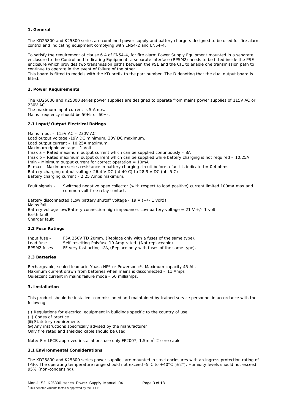#### **1. General**

The KD25800 and K25800 series are combined power supply and battery chargers designed to be used for fire alarm control and indicating equipment complying with EN54-2 and EN54-4.

To satisfy the requirement of clause 6.4 of EN54-4, for fire alarm Power Supply Equipment mounted in a separate enclosure to the Control and Indicating Equipment, a separate interface (RPSM2) needs to be fitted inside the PSE enclosure which provides two transmission paths between the PSE and the CIE to enable one transmission path to continue to operate in the event of failure of the other.

This board is fitted to models with the KD prefix to the part number. The D denoting that the dual output board is fitted.

#### **2. Power Requirements**

The KD25800 and K25800 series power supplies are designed to operate from mains power supplies of 115V AC or 230V AC.

The maximum input current is 5 Amps. Mains frequency should be 50Hz or 60Hz.

#### **2.1 Input/Output Electrical Ratings**

Mains Input – 115V AC – 230V AC. Load output voltage -19V DC minimum, 30V DC maximum. Load output current – 10.25A maximum. Maximum ripple voltage - 1 Volt. Imax a – Rated maximum output current which can be supplied continuously – 8A Imax b – Rated maximum output current which can be supplied while battery charging is not required – 10.25A Imin - Minimum output current for correct operation = 10mA Ri max – Maximum series resistance in battery charging circuit before a fault is indicated =  $0.4$  ohms. Battery charging output voltage–26.4 V DC (at 40 C) to 28.9 V DC (at -5 C) Battery charging current - 2.25 Amps maximum.

Fault signals - Switched negative open collector (with respect to load positive) current limited 100mA max and common volt free relay contact.

Battery disconnected (Low battery shutoff voltage - 19 V (+/- 1 volt)) Mains fail Battery voltage low/Battery connection high impedance. Low battery voltage =  $21$  V +/- 1 volt Earth fault Charger fault

#### **2.2 Fuse Ratings**

| Input fuse - | F5A 250V TD 20mm. (Replace only with a fuses of the same type).      |
|--------------|----------------------------------------------------------------------|
| Load fuse -  | Self-resetting Polyfuse 10 Amp rated. (Not replaceable).             |
| RPSM2 fuses- | FF very fast acting 12A, (Replace only with fuses of the same type). |

#### **2.3 Batteries**

Rechargeable, sealed lead acid Yuasa NP\* or Powersonic\*. Maximum capacity 45 Ah. Maximum current drawn from batteries when mains is disconnected – 11 Amps Quiescent current in mains failure mode - 50 milliamps.

#### **3. Installation**

This product should be installed, commissioned and maintained by trained service personnel in accordance with the following:

(i) Regulations for electrical equipment in buildings specific to the country of use

(ii) Codes of practice

(iii) Statutory requirements

(iv) Any instructions specifically advised by the manufacturer

Only fire rated and shielded cable should be used.

Note: For LPCB approved installations use only FP200\*, 1.5mm<sup>2</sup> 2 core cable.

#### **3.1 Environmental Considerations**

The KD25800 and K25800 series power supplies are mounted in steel enclosures with an ingress protection rating of IP30. The operating temperature range should not exceed -5°C to +40°C (±2°). Humidity levels should not exceed 95% (non-condensing).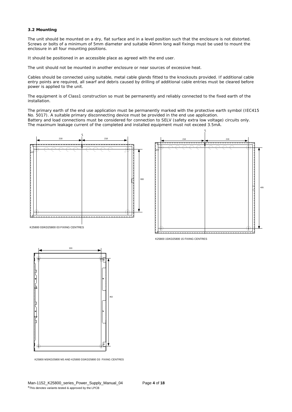#### **3.2 Mounting**

The unit should be mounted on a dry, flat surface and in a level position such that the enclosure is not distorted. Screws or bolts of a minimum of 5mm diameter and suitable 40mm long wall fixings must be used to mount the enclosure in all four mounting positions.

It should be positioned in an accessible place as agreed with the end user.

The unit should not be mounted in another enclosure or near sources of excessive heat.

Cables should be connected using suitable, metal cable glands fitted to the knockouts provided. If additional cable entry points are required, all swarf and debris caused by drilling of additional cable entries must be cleared before power is applied to the unit.

The equipment is of Class1 construction so must be permanently and reliably connected to the fixed earth of the installation.

The primary earth of the end use application must be permanently marked with the protective earth symbol (IEC415 No. 5017). A suitable primary disconnecting device must be provided in the end use application. Battery and load connections must be considered for connection to SELV (safety extra low voltage) circuits only. The maximum leakage current of the completed and installed equipment must not exceed 3.5mA.







K25800 M3/KD25800 M3 AND K25800 D3/KD25800 D3 FIXING CENTRES

K25800 15/KD25800 15 FIXING CENTRES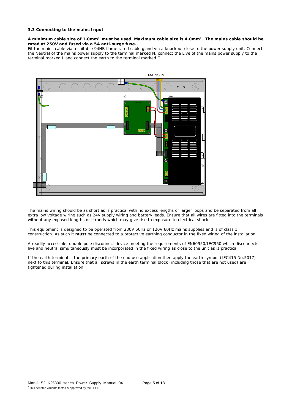#### **3.3 Connecting to the mains Input**

#### **A minimum cable size of 1.0mm² must be used. Maximum cable size is 4.0mm². The mains cable should be rated at 250V and fused via a 5A anti-surge fuse.**

Fit the mains cable via a suitable 94HB flame rated cable gland via a knockout close to the power supply unit. Connect the Neutral of the mains power supply to the terminal marked N, connect the Live of the mains power supply to the terminal marked L and connect the earth to the terminal marked E.



The mains wiring should be as short as is practical with no excess lengths or larger loops and be separated from all extra low voltage wiring such as 24V supply wiring and battery leads. Ensure that all wires are fitted into the terminals without any exposed lengths or strands which may give rise to exposure to electrical shock.

This equipment is designed to be operated from 230V 50Hz or 120V 60Hz mains supplies and is of class 1 construction. As such it **must** be connected to a protective earthing conductor in the fixed wiring of the installation.

A readily accessible, double pole disconnect device meeting the requirements of EN60950/IEC950 which disconnects live and neutral simultaneously must be incorporated in the fixed wiring as close to the unit as is practical.

If the earth terminal is the primary earth of the end use application then apply the earth symbol (IEC415 No.5017) next to this terminal. Ensure that all screws in the earth terminal block (including those that are not used) are tightened during installation.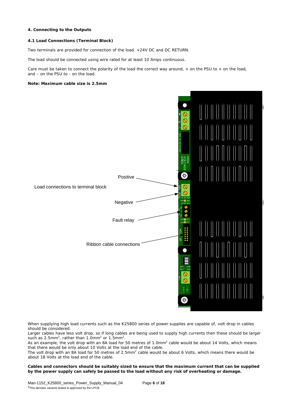#### **4. Connecting to the Outputs**

#### **4.1 Load Connections (Terminal Block)**

Two terminals are provided for connection of the load. +24V DC and DC RETURN.

The load should be connected using wire rated for at least 10 Amps continuous.

Care must be taken to connect the polarity of the load the correct way around, + on the PSU to + on the load, and – on the PSU to - on the load.

#### **Note: Maximum cable size is 2.5mm**



When supplying high load currents such as the K25800 series of power supplies are capable of, volt drop in cables should be considered.

Larger cables have less volt drop, so if long cables are being used to supply high currents then these should be larger such as 2.5mm<sup>2</sup>, rather than 1.0mm<sup>2</sup> or 1.5mm<sup>2</sup>.

As an example, the volt drop with an 8A load for 50 metres of 1.0mm<sup>2</sup> cable would be about 14 Volts, which means that there would be only about 10 Volts at the load end of the cable.

The volt drop with an 8A load for 50 metres of 2.5mm<sup>2</sup> cable would be about 6 Volts, which means there would be about 18 Volts at the load end of the cable.

**Cables and connectors should be suitably sized to ensure that the maximum current that can be supplied by the power supply can safely be passed to the load without any risk of overheating or damage.**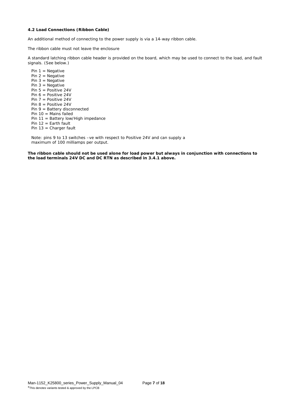#### **4.2 Load Connections (Ribbon Cable)**

An additional method of connecting to the power supply is via a 14-way ribbon cable.

The ribbon cable must not leave the enclosure

A standard latching ribbon cable header is provided on the board, which may be used to connect to the load, and fault signals. (See below.)

Pin  $1 =$  Negative Pin  $2 =$  Negative Pin  $3 =$  Negative Pin  $3 = Ne$ gative  $Pin 5 = Position 24V$ Pin 6 = Positive 24V Pin  $7 =$  Positive 24V Pin 8 = Positive 24V Pin 9 = Battery disconnected Pin 10 = Mains failed Pin 11 = Battery low/High impedance Pin  $12 =$  Earth fault Pin 13 = Charger fault

Note: pins 9 to 13 switches –ve with respect to Positive 24V and can supply a maximum of 100 milliamps per output.

**The ribbon cable should not be used alone for load power but always in conjunction with connections to the load terminals 24V DC and DC RTN as described in 3.4.1 above.**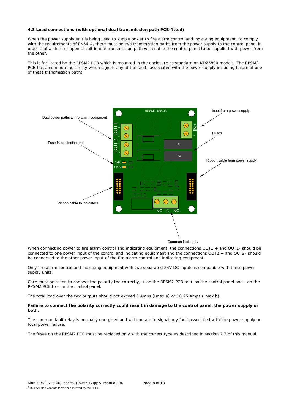#### **4.3 Load connections (with optional dual transmission path PCB fitted)**

When the power supply unit is being used to supply power to fire alarm control and indicating equipment, to comply with the requirements of EN54-4, there must be two transmission paths from the power supply to the control panel in order that a short or open circuit in one transmission path will enable the control panel to be supplied with power from the other.

This is facilitated by the RPSM2 PCB which is mounted in the enclosure as standard on KD25800 models. The RPSM2 PCB has a common fault relay which signals any of the faults associated with the power supply including failure of one of these transmission paths.



When connecting power to fire alarm control and indicating equipment, the connections OUT1 + and OUT1- should be connected to one power input of the control and indicating equipment and the connections OUT2 + and OUT2- should be connected to the other power input of the fire alarm control and indicating equipment.

Only fire alarm control and indicating equipment with two separated 24V DC inputs is compatible with these power supply units.

Care must be taken to connect the polarity the correctly, + on the RPSM2 PCB to + on the control panel and - on the RPSM2 PCB to - on the control panel.

The total load over the two outputs should not exceed 8 Amps (Imax a) or 10.25 Amps (Imax b).

#### **Failure to connect the polarity correctly could result in damage to the control panel, the power supply or both.**

The common fault relay is normally energised and will operate to signal any fault associated with the power supply or total power failure.

The fuses on the RPSM2 PCB must be replaced only with the correct type as described in section 2.2 of this manual.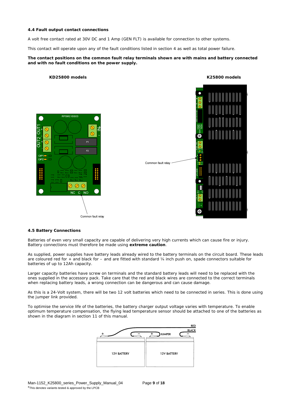#### **4.4 Fault output contact connections**

A volt free contact rated at 30V DC and 1 Amp (GEN FLT) is available for connection to other systems.

This contact will operate upon any of the fault conditions listed in section 4 as well as total power failure.

#### **The contact positions on the common fault relay terminals shown are with mains and battery connected and with no fault conditions on the power supply.**





#### **4.5 Battery Connections**

Batteries of even very small capacity are capable of delivering very high currents which can cause fire or injury. Battery connections must therefore be made using **extreme caution**.

As supplied, power supplies have battery leads already wired to the battery terminals on the circuit board. These leads are coloured red for + and black for – and are fitted with standard ¼ inch push on, spade connectors suitable for batteries of up to 12Ah capacity.

Larger capacity batteries have screw on terminals and the standard battery leads will need to be replaced with the ones supplied in the accessory pack. Take care that the red and black wires are connected to the correct terminals when replacing battery leads, a wrong connection can be dangerous and can cause damage.

As this is a 24-Volt system, there will be two 12 volt batteries which need to be connected in series. This is done using the jumper link provided.

To optimise the service life of the batteries, the battery charger output voltage varies with temperature. To enable optimum temperature compensation, the flying lead temperature sensor should be attached to one of the batteries as shown in the diagram in section 11 of this manual.

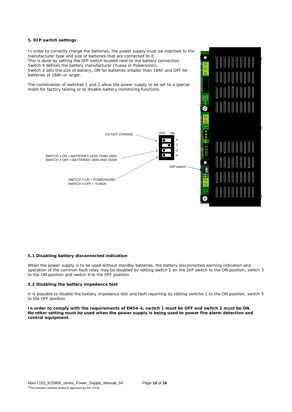#### **5. DIP switch settings**

In order to correctly charge the batteries, the power supply must be matched to the manufacturer type and size of batteries that are connected to it. This is done by setting the DIP switch located next to the battery connection. Switch 4 defines the battery manufacturer (Yuasa or Powersonic). Switch 3 sets the size of battery, ON for batteries smaller than 18Ah and OFF for batteries of 18Ah or larger.

The combination of switches 1 and 2 allow the power supply to be set to a special mode for factory testing or to disable battery monitoring functions.



I

slot

L<sub>8</sub> L<sub>9</sub> L<sub>9</sub> L<sub>9</sub>

L10

TB6

N

 $\overline{a}$ 

l.

l.

L17

#### **5.1 Disabling battery disconnected indication**

When the power supply is to be used without standby batteries, the battery disconnected warning indication and operation of the common fault relay may be disabled by setting switch 1 on the DIP switch to the ON position, switch 3 to the ON position and switch 4 to the OFF position.

#### **5.2 Disabling the battery impedance test**

It is possible to disable the battery impedance test and fault reporting by setting switche 1 to the ON position, switch 3 to the OFF position.

**In order to comply with the requirements of EN54-4, switch 1 must be OFF and switch 2 must be ON. No other setting must be used when the power supply is being used to power fire alarm detection and control equipment.**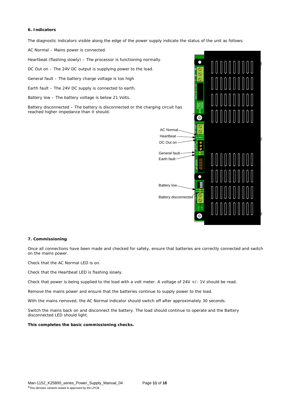#### **6. Indicators**

The diagnostic indicators visible along the edge of the power supply indicate the status of the unit as follows:

AC Normal – Mains power is connected.

Heartbeat (flashing slowly) – The processor is functioning normally.

DC Out on – The 24V DC output is supplying power to the load.

General fault – The battery charge voltage is too high

Earth fault – The 24V DC supply is connected to earth.

Battery low – The battery voltage is below 21 Volts.

Battery disconnected – The battery is disconnected or the charging circuit has reached higher impedance than it should.



#### **7. Commissioning**

Once all connections have been made and checked for safety, ensure that batteries are correctly connected and switch on the mains power.

Check that the AC Normal LED is on.

Check that the Heartbeat LED is flashing slowly.

Check that power is being supplied to the load with a volt meter. A voltage of 24V +/- 1V should be read.

Remove the mains power and ensure that the batteries continue to supply power to the load.

With the mains removed, the AC Normal indicator should switch off after approximately 30 seconds.

Switch the mains back on and disconnect the battery. The load should continue to operate and the Battery disconnected LED should light.

#### **This completes the basic commissioning checks.**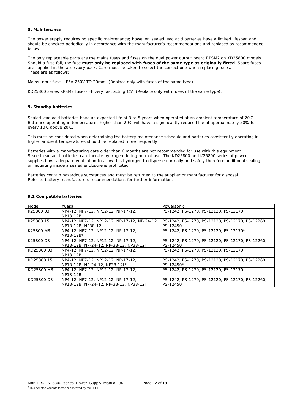#### **8. Maintenance**

The power supply requires no specific maintenance; however, sealed lead acid batteries have a limited lifespan and should be checked periodically in accordance with the manufacturer's recommendations and replaced as recommended below.

The only replaceable parts are the mains fuses and fuses on the dual power output board RPSM2 on KD25800 models. Should a fuse fail, the fuse **must only be replaced with fuses of the same type as originally fitted**. Spare fuses are supplied in the accessory pack. Care must be taken to select the correct one when replacing fuses. These are as follows:

Mains Input fuse – F5A 250V TD 20mm. (Replace only with fuses of the same type).

KD25800 series RPSM2 fuses- FF very fast acting 12A. (Replace only with fuses of the same type).

#### **9. Standby batteries**

Sealed lead acid batteries have an expected life of 3 to 5 years when operated at an ambient temperature of 20°C. Batteries operating in temperatures higher than 20°C will have a significantly reduced life of approximately 50% for every 10°C above 20°C.

This must be considered when determining the battery maintenance schedule and batteries consistently operating in higher ambient temperatures should be replaced more frequently.

Batteries with a manufacturing date older than 6 months are not recommended for use with this equipment. Sealed lead acid batteries can liberate hydrogen during normal use. The KD25800 and K25800 series of power supplies have adequate ventilation to allow this hydrogen to disperse normally and safely therefore additional sealing or mounting inside a sealed enclosure is prohibited.

Batteries contain hazardous substances and must be returned to the supplier or manufacturer for disposal. Refer to battery manufacturers recommendations for further information.

| Model      | Yuasa                                       | Powersonic                                      |
|------------|---------------------------------------------|-------------------------------------------------|
| K2580003   | NP4-12, NP7-12, NP12-12, NP-17-12,          | PS-1242, PS-1270, PS-12120, PS-12170            |
|            | NP18-12B                                    |                                                 |
| K25800 15  | NP4-12, NP7-12, NP12-12, NP-17-12, NP-24-12 | PS-1242, PS-1270, PS-12120, PS-12170, PS-12260, |
|            | NP18-12B, NP38-12I                          | PS-12450                                        |
| K25800 M3  | NP4-12, NP7-12, NP12-12, NP-17-12,          | PS-1242, PS-1270, PS-12120, PS-12170*           |
|            | $NP18-12B*$                                 |                                                 |
| K25800 D3  | NP4-12, NP7-12, NP12-12, NP-17-12,          | PS-1242, PS-1270, PS-12120, PS-12170, PS-12260, |
|            | NP18-12B, NP-24-12, NP-38-12, NP38-12I      | PS-12450                                        |
| KD25800 03 | NP4-12, NP7-12, NP12-12, NP-17-12,          | PS-1242, PS-1270, PS-12120, PS-12170            |
|            | NP18-12B                                    |                                                 |
| KD25800 15 | NP4-12, NP7-12, NP12-12, NP-17-12,          | PS-1242, PS-1270, PS-12120, PS-12170, PS-12260, |
|            | NP18-12B, NP-24-12, NP38-12I*               | PS-12450*                                       |
| KD25800 M3 | NP4-12, NP7-12, NP12-12, NP-17-12,          | PS-1242, PS-1270, PS-12120, PS-12170            |
|            | NP18-12B                                    |                                                 |
| KD25800 D3 | NP4-12, NP7-12, NP12-12, NP-17-12,          | PS-1242, PS-1270, PS-12120, PS-12170, PS-12260, |
|            | NP18-12B, NP-24-12, NP-38-12, NP38-12I      | PS-12450                                        |

#### **9.1 Compatible batteries**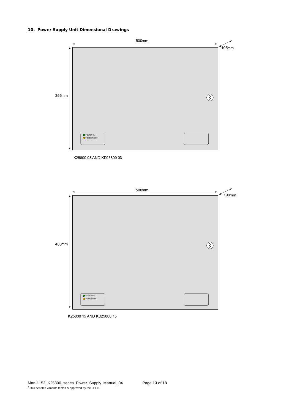### **10. Power Supply Unit Dimensional Drawings**



K25800 03 AND KD25800 03



K25800 15 AND KD25800 15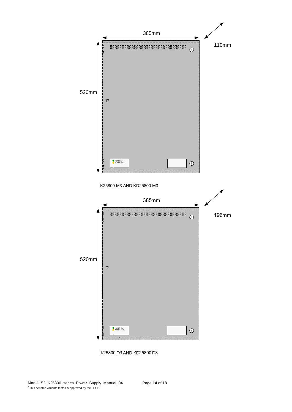

K25800 D3 AND KD25800 D3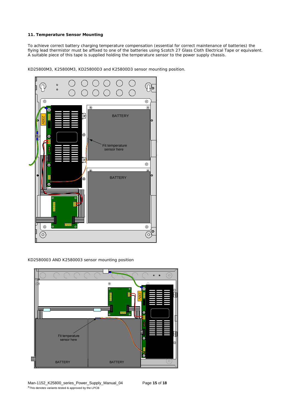#### **11. Temperature Sensor Mounting**

To achieve correct battery charging temperature compensation (essential for correct maintenance of batteries) the flying lead thermistor must be affixed to one of the batteries using Scotch 27 Glass Cloth Electrical Tape or equivalent. A suitable piece of this tape is supplied holding the temperature sensor to the power supply chassis.



KD25800M3, K25800M3, KD25800D3 and K25800D3 sensor mounting position.

KD2580003 AND K2580003 sensor mounting position

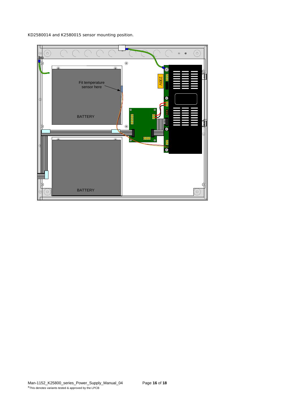KD2580014 and K2580015 sensor mounting position.

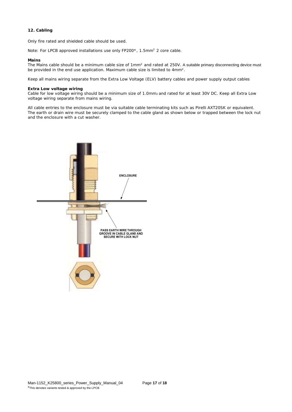#### **12. Cabling**

Only fire rated and shielded cable should be used.

Note: For LPCB approved installations use only FP200\*, 1.5mm<sup>2</sup> 2 core cable.

#### **Mains**

The Mains cable should be a minimum cable size of 1mm<sup>2</sup> and rated at 250V. A suitable primary disconnecting device must be provided in the end use application. Maximum cable size is limited to 4mm².

Keep all mains wiring separate from the Extra Low Voltage (ELV) battery cables and power supply output cables

#### **Extra Low voltage wiring**

Cable for low voltage wiring should be a minimum size of 1.0mm2 and rated for at least 30V DC. Keep all Extra Low voltage wiring separate from mains wiring.

All cable entries to the enclosure must be via suitable cable terminating kits such as Pirelli AXT20SK or equivalent. The earth or drain wire must be securely clamped to the cable gland as shown below or trapped between the lock nut and the enclosure with a cut washer.